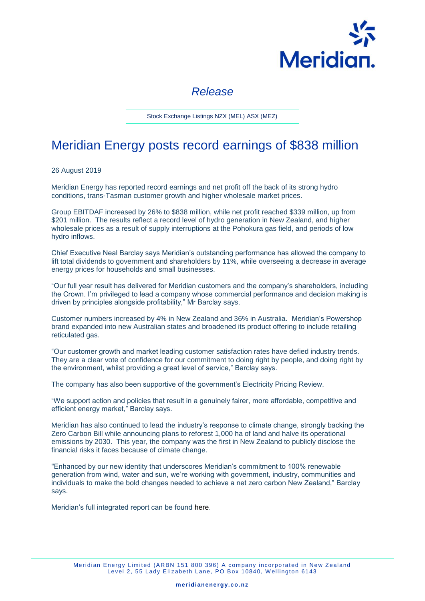

## *Release*

Stock Exchange Listings NZX (MEL) ASX (MEZ)

## Meridian Energy posts record earnings of \$838 million

26 August 2019

Meridian Energy has reported record earnings and net profit off the back of its strong hydro conditions, trans-Tasman customer growth and higher wholesale market prices.

Group EBITDAF increased by 26% to \$838 million, while net profit reached \$339 million, up from \$201 million. The results reflect a record level of hydro generation in New Zealand, and higher wholesale prices as a result of supply interruptions at the Pohokura gas field, and periods of low hydro inflows.

Chief Executive Neal Barclay says Meridian's outstanding performance has allowed the company to lift total dividends to government and shareholders by 11%, while overseeing a decrease in average energy prices for households and small businesses.

"Our full year result has delivered for Meridian customers and the company's shareholders, including the Crown. I'm privileged to lead a company whose commercial performance and decision making is driven by principles alongside profitability," Mr Barclay says.

Customer numbers increased by 4% in New Zealand and 36% in Australia. Meridian's Powershop brand expanded into new Australian states and broadened its product offering to include retailing reticulated gas.

"Our customer growth and market leading customer satisfaction rates have defied industry trends. They are a clear vote of confidence for our commitment to doing right by people, and doing right by the environment, whilst providing a great level of service," Barclay says.

The company has also been supportive of the government's Electricity Pricing Review.

"We support action and policies that result in a genuinely fairer, more affordable, competitive and efficient energy market," Barclay says.

Meridian has also continued to lead the industry's response to climate change, strongly backing the Zero Carbon Bill while announcing plans to reforest 1,000 ha of land and halve its operational emissions by 2030. This year, the company was the first in New Zealand to publicly disclose the financial risks it faces because of climate change.

"Enhanced by our new identity that underscores Meridian's commitment to 100% renewable generation from wind, water and sun, we're working with government, industry, communities and individuals to make the bold changes needed to achieve a net zero carbon New Zealand," Barclay says.

Meridian's full integrated report can be found [here.](https://www.meridianenergy.co.nz/investors)